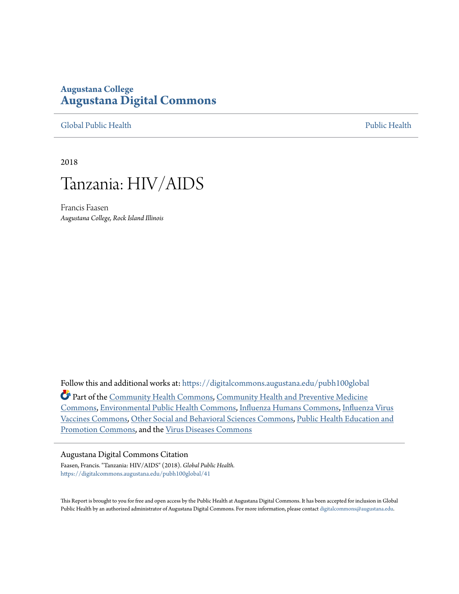## **Augustana College [Augustana Digital Commons](https://digitalcommons.augustana.edu?utm_source=digitalcommons.augustana.edu%2Fpubh100global%2F41&utm_medium=PDF&utm_campaign=PDFCoverPages)**

[Global Public Health](https://digitalcommons.augustana.edu/pubh100global?utm_source=digitalcommons.augustana.edu%2Fpubh100global%2F41&utm_medium=PDF&utm_campaign=PDFCoverPages) [Public Health](https://digitalcommons.augustana.edu/publichealth?utm_source=digitalcommons.augustana.edu%2Fpubh100global%2F41&utm_medium=PDF&utm_campaign=PDFCoverPages)

2018



Francis Faasen *Augustana College, Rock Island Illinois*

Follow this and additional works at: [https://digitalcommons.augustana.edu/pubh100global](https://digitalcommons.augustana.edu/pubh100global?utm_source=digitalcommons.augustana.edu%2Fpubh100global%2F41&utm_medium=PDF&utm_campaign=PDFCoverPages) Part of the [Community Health Commons](http://network.bepress.com/hgg/discipline/714?utm_source=digitalcommons.augustana.edu%2Fpubh100global%2F41&utm_medium=PDF&utm_campaign=PDFCoverPages), [Community Health and Preventive Medicine](http://network.bepress.com/hgg/discipline/744?utm_source=digitalcommons.augustana.edu%2Fpubh100global%2F41&utm_medium=PDF&utm_campaign=PDFCoverPages) [Commons,](http://network.bepress.com/hgg/discipline/744?utm_source=digitalcommons.augustana.edu%2Fpubh100global%2F41&utm_medium=PDF&utm_campaign=PDFCoverPages) [Environmental Public Health Commons,](http://network.bepress.com/hgg/discipline/739?utm_source=digitalcommons.augustana.edu%2Fpubh100global%2F41&utm_medium=PDF&utm_campaign=PDFCoverPages) [Influenza Humans Commons](http://network.bepress.com/hgg/discipline/1069?utm_source=digitalcommons.augustana.edu%2Fpubh100global%2F41&utm_medium=PDF&utm_campaign=PDFCoverPages), [Influenza Virus](http://network.bepress.com/hgg/discipline/1070?utm_source=digitalcommons.augustana.edu%2Fpubh100global%2F41&utm_medium=PDF&utm_campaign=PDFCoverPages) [Vaccines Commons](http://network.bepress.com/hgg/discipline/1070?utm_source=digitalcommons.augustana.edu%2Fpubh100global%2F41&utm_medium=PDF&utm_campaign=PDFCoverPages), [Other Social and Behavioral Sciences Commons](http://network.bepress.com/hgg/discipline/437?utm_source=digitalcommons.augustana.edu%2Fpubh100global%2F41&utm_medium=PDF&utm_campaign=PDFCoverPages), [Public Health Education and](http://network.bepress.com/hgg/discipline/743?utm_source=digitalcommons.augustana.edu%2Fpubh100global%2F41&utm_medium=PDF&utm_campaign=PDFCoverPages) [Promotion Commons](http://network.bepress.com/hgg/discipline/743?utm_source=digitalcommons.augustana.edu%2Fpubh100global%2F41&utm_medium=PDF&utm_campaign=PDFCoverPages), and the [Virus Diseases Commons](http://network.bepress.com/hgg/discipline/998?utm_source=digitalcommons.augustana.edu%2Fpubh100global%2F41&utm_medium=PDF&utm_campaign=PDFCoverPages)

## Augustana Digital Commons Citation

Faasen, Francis. "Tanzania: HIV/AIDS" (2018). *Global Public Health.* [https://digitalcommons.augustana.edu/pubh100global/41](https://digitalcommons.augustana.edu/pubh100global/41?utm_source=digitalcommons.augustana.edu%2Fpubh100global%2F41&utm_medium=PDF&utm_campaign=PDFCoverPages)

This Report is brought to you for free and open access by the Public Health at Augustana Digital Commons. It has been accepted for inclusion in Global Public Health by an authorized administrator of Augustana Digital Commons. For more information, please contact [digitalcommons@augustana.edu.](mailto:digitalcommons@augustana.edu)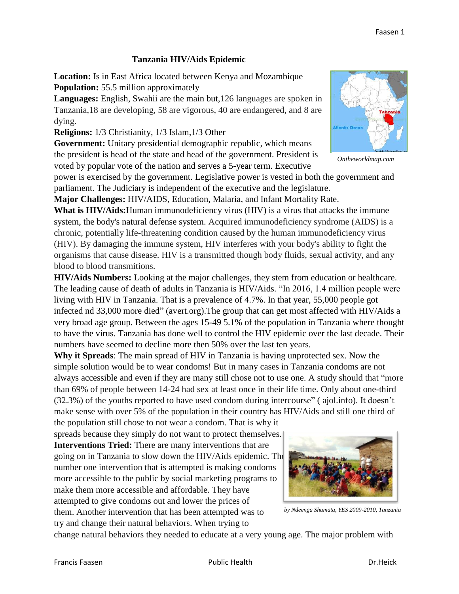## **Tanzania HIV/Aids Epidemic**

**Location:** Is in East Africa located between Kenya and Mozambique **Population:** 55.5 million approximately

**Languages:** English, Swahii are the main but,126 languages are spoken in Tanzania,18 are developing, 58 are vigorous, 40 are endangered, and 8 are dying.

**Religions:** 1/3 Christianity, 1/3 Islam,1/3 Other

**Government:** Unitary presidential demographic republic, which means the president is head of the state and head of the government. President is voted by popular vote of the nation and serves a 5-year term. [Executive](https://en.wikipedia.org/wiki/Executive_power) 

[power](https://en.wikipedia.org/wiki/Executive_power) is exercised by the government. [Legislative power](https://en.wikipedia.org/wiki/Legislative_power) is vested in both the [government](https://en.wikipedia.org/wiki/Government) and parliament. The [Judiciary](https://en.wikipedia.org/wiki/Judiciary) is independent of the executive and the legislature.

**Major Challenges:** HIV/AIDS, Education, Malaria, and Infant Mortality Rate.

**What is HIV/Aids:**Human immunodeficiency virus (HIV) is a virus that attacks the immune system, the body's natural defense system. Acquired immunodeficiency syndrome (AIDS) is a chronic, potentially life-threatening condition caused by the human immunodeficiency virus (HIV). By damaging the immune system, HIV interferes with your body's ability to fight the organisms that cause disease. HIV is a transmitted though body fluids, sexual activity, and any blood to blood transmitions.

**HIV/Aids Numbers:** Looking at the major challenges, they stem from education or healthcare. The leading cause of death of adults in Tanzania is HIV/Aids. "In 2016, 1.4 million people were living with HIV in Tanzania. That is a prevalence of 4.7%. In that year, 55,000 people got infected nd 33,000 more died" (avert.org).The group that can get most affected with HIV/Aids a very broad age group. Between the ages 15-49 5.1% of the population in Tanzania where thought to have the virus. Tanzania has done well to control the HIV epidemic over the last decade. Their numbers have seemed to decline more then 50% over the last ten years.

**Why it Spreads**: The main spread of HIV in Tanzania is having unprotected sex. Now the simple solution would be to wear condoms! But in many cases in Tanzania condoms are not always accessible and even if they are many still chose not to use one. A study should that "more than 69% of people between 14-24 had sex at least once in their life time. Only about one-third (32.3%) of the youths reported to have used condom during intercourse" ( ajol.info). It doesn't make sense with over 5% of the population in their country has HIV/Aids and still one third of

the population still chose to not wear a condom. That is why it spreads because they simply do not want to protect themselves. **Interventions Tried:** There are many interventions that are

going on in Tanzania to slow down the HIV/Aids epidemic. The number one intervention that is attempted is making condoms more accessible to the public by social marketing programs to make them more accessible and affordable. They have attempted to give condoms out and lower the prices of them. Another intervention that has been attempted was to

try and change their natural behaviors. When trying to



*by Ndeenga Shamata, YES 2009-2010, Tanzania*

change natural behaviors they needed to educate at a very young age. The major problem with



*Ontheworldmap.com*